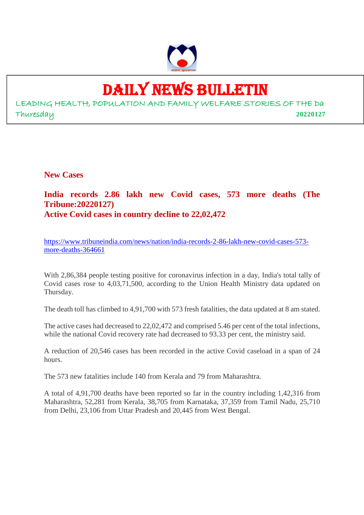

# DAILY NEWS BULLETIN

LEADING HEALTH, POPULATION AND FAMILY WELFARE STORIES OF THE Da Thuresday **20220127**

**New Cases**

#### **India records 2.86 lakh new Covid cases, 573 more deaths (The Tribune:20220127) Active Covid cases in country decline to 22,02,472**

https://www.tribuneindia.com/news/nation/india-records-2-86-lakh-new-covid-cases-573 more-deaths-364661

With 2,86,384 people testing positive for coronavirus infection in a day, India's total tally of Covid cases rose to 4,03,71,500, according to the Union Health Ministry data updated on Thursday.

The death toll has climbed to 4,91,700 with 573 fresh fatalities, the data updated at 8 am stated.

The active cases had decreased to 22,02,472 and comprised 5.46 per cent of the total infections, while the national Covid recovery rate had decreased to 93.33 per cent, the ministry said.

A reduction of 20,546 cases has been recorded in the active Covid caseload in a span of 24 hours.

The 573 new fatalities include 140 from Kerala and 79 from Maharashtra.

A total of 4,91,700 deaths have been reported so far in the country including 1,42,316 from Maharashtra, 52,281 from Kerala, 38,705 from Karnataka, 37,359 from Tamil Nadu, 25,710 from Delhi, 23,106 from Uttar Pradesh and 20,445 from West Bengal.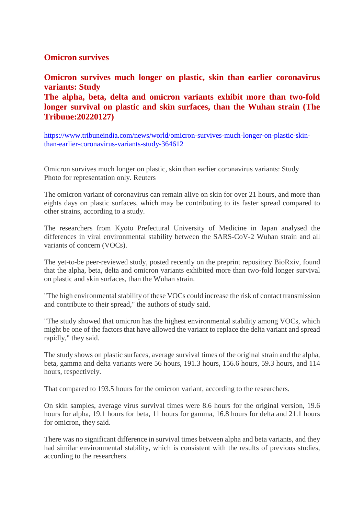#### **Omicron survives**

**Omicron survives much longer on plastic, skin than earlier coronavirus variants: Study The alpha, beta, delta and omicron variants exhibit more than two-fold**

**longer survival on plastic and skin surfaces, than the Wuhan strain (The Tribune:20220127)**

https://www.tribuneindia.com/news/world/omicron-survives-much-longer-on-plastic-skinthan-earlier-coronavirus-variants-study-364612

Omicron survives much longer on plastic, skin than earlier coronavirus variants: Study Photo for representation only. Reuters

The omicron variant of coronavirus can remain alive on skin for over 21 hours, and more than eights days on plastic surfaces, which may be contributing to its faster spread compared to other strains, according to a study.

The researchers from Kyoto Prefectural University of Medicine in Japan analysed the differences in viral environmental stability between the SARS-CoV-2 Wuhan strain and all variants of concern (VOCs).

The yet-to-be peer-reviewed study, posted recently on the preprint repository BioRxiv, found that the alpha, beta, delta and omicron variants exhibited more than two-fold longer survival on plastic and skin surfaces, than the Wuhan strain.

"The high environmental stability of these VOCs could increase the risk of contact transmission and contribute to their spread," the authors of study said.

"The study showed that omicron has the highest environmental stability among VOCs, which might be one of the factors that have allowed the variant to replace the delta variant and spread rapidly," they said.

The study shows on plastic surfaces, average survival times of the original strain and the alpha, beta, gamma and delta variants were 56 hours, 191.3 hours, 156.6 hours, 59.3 hours, and 114 hours, respectively.

That compared to 193.5 hours for the omicron variant, according to the researchers.

On skin samples, average virus survival times were 8.6 hours for the original version, 19.6 hours for alpha, 19.1 hours for beta, 11 hours for gamma, 16.8 hours for delta and 21.1 hours for omicron, they said.

There was no significant difference in survival times between alpha and beta variants, and they had similar environmental stability, which is consistent with the results of previous studies, according to the researchers.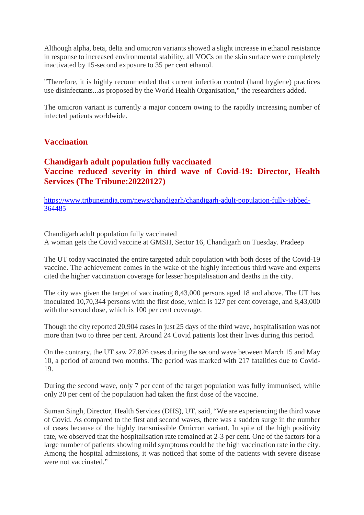Although alpha, beta, delta and omicron variants showed a slight increase in ethanol resistance in response to increased environmental stability, all VOCs on the skin surface were completely inactivated by 15-second exposure to 35 per cent ethanol.

"Therefore, it is highly recommended that current infection control (hand hygiene) practices use disinfectants...as proposed by the World Health Organisation," the researchers added.

The omicron variant is currently a major concern owing to the rapidly increasing number of infected patients worldwide.

#### **Vaccination**

#### **Chandigarh adult population fully vaccinated Vaccine reduced severity in third wave of Covid-19: Director, Health Services (The Tribune:20220127)**

https://www.tribuneindia.com/news/chandigarh/chandigarh-adult-population-fully-jabbed-364485

Chandigarh adult population fully vaccinated A woman gets the Covid vaccine at GMSH, Sector 16, Chandigarh on Tuesday. Pradeep

The UT today vaccinated the entire targeted adult population with both doses of the Covid-19 vaccine. The achievement comes in the wake of the highly infectious third wave and experts cited the higher vaccination coverage for lesser hospitalisation and deaths in the city.

The city was given the target of vaccinating 8,43,000 persons aged 18 and above. The UT has inoculated 10,70,344 persons with the first dose, which is 127 per cent coverage, and 8,43,000 with the second dose, which is 100 per cent coverage.

Though the city reported 20,904 cases in just 25 days of the third wave, hospitalisation was not more than two to three per cent. Around 24 Covid patients lost their lives during this period.

On the contrary, the UT saw 27,826 cases during the second wave between March 15 and May 10, a period of around two months. The period was marked with 217 fatalities due to Covid-19.

During the second wave, only 7 per cent of the target population was fully immunised, while only 20 per cent of the population had taken the first dose of the vaccine.

Suman Singh, Director, Health Services (DHS), UT, said, "We are experiencing the third wave of Covid. As compared to the first and second waves, there was a sudden surge in the number of cases because of the highly transmissible Omicron variant. In spite of the high positivity rate, we observed that the hospitalisation rate remained at 2-3 per cent. One of the factors for a large number of patients showing mild symptoms could be the high vaccination rate in the city. Among the hospital admissions, it was noticed that some of the patients with severe disease were not vaccinated."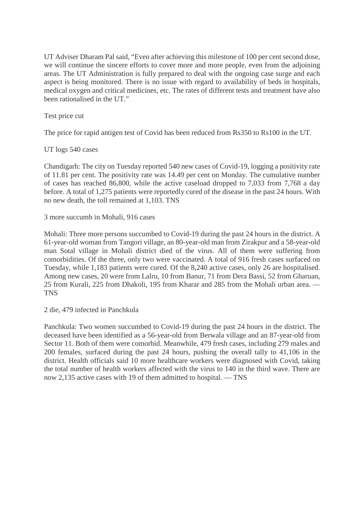UT Adviser Dharam Pal said, "Even after achieving this milestone of 100 per cent second dose, we will continue the sincere efforts to cover more and more people, even from the adjoining areas. The UT Administration is fully prepared to deal with the ongoing case surge and each aspect is being monitored. There is no issue with regard to availability of beds in hospitals, medical oxygen and critical medicines, etc. The rates of different tests and treatment have also been rationalised in the UT."

Test price cut

The price for rapid antigen test of Covid has been reduced from Rs350 to Rs100 in the UT.

#### UT logs 540 cases

Chandigarh: The city on Tuesday reported 540 new cases of Covid-19, logging a positivity rate of 11.81 per cent. The positivity rate was 14.49 per cent on Monday. The cumulative number of cases has reached 86,800, while the active caseload dropped to 7,033 from 7,768 a day before. A total of 1,275 patients were reportedly cured of the disease in the past 24 hours. With no new death, the toll remained at 1,103. TNS

3 more succumb in Mohali, 916 cases

Mohali: Three more persons succumbed to Covid-19 during the past 24 hours in the district. A 61-year-old woman from Tangori village, an 80-year-old man from Zirakpur and a 58-year-old man Sotal village in Mohali district died of the virus. All of them were suffering from comorbidities. Of the three, only two were vaccinated. A total of 916 fresh cases surfaced on Tuesday, while 1,183 patients were cured. Of the 8,240 active cases, only 26 are hospitalised. Among new cases, 20 were from Lalru, 10 from Banur, 71 from Dera Bassi, 52 from Gharuan, 25 from Kurali, 225 from Dhakoli, 195 from Kharar and 285 from the Mohali urban area. — TNS

2 die, 479 infected in Panchkula

Panchkula: Two women succumbed to Covid-19 during the past 24 hours in the district. The deceased have been identified as a 56-year-old from Berwala village and an 87-year-old from Sector 11. Both of them were comorbid. Meanwhile, 479 fresh cases, including 279 males and 200 females, surfaced during the past 24 hours, pushing the overall tally to 41,106 in the district. Health officials said 10 more healthcare workers were diagnosed with Covid, taking the total number of health workers affected with the virus to 140 in the third wave. There are now 2,135 active cases with 19 of them admitted to hospital. — TNS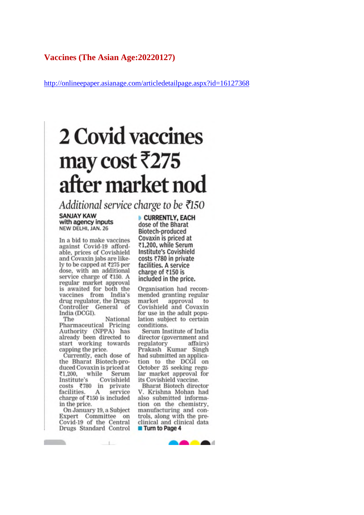#### **Vaccines (The Asian Age:20220127)**

http://onlineepaper.asianage.com/articledetailpage.aspx?id=16127368

# 2 Covid vaccines may cost ₹275 after market nod

Additional service charge to be ₹150

**SANJAY KAW** with agency inputs NEW DELHI, JAN. 26

In a bid to make vaccines against Covid-19 affordable, prices of Covishield and Covaxin jabs are likely to be capped at ₹275 per dose, with an additional service charge of ₹150. A regular market approval is awaited for both the vaccines from India's drug regulator, the Drugs Controller General of India (DCGI).

National The Pharmaceutical Pricing Authority (NPPA) has already been directed to start working towards capping the price.

Currently, each dose of<br>the Bharat Biotech-produced Covaxin is priced at ₹1,200, while Serum Institute's Covishield costs ₹780 in private service facilities. A charge of  $\bar{x}$ 150 is included in the price.

On January 19, a Subject Expert Committee on Covid-19 of the Central<br>Drugs Standard Control

 $-1-$ 

**Contract Contract Contract** 

CURRENTLY, EACH dose of the Bharat Biotech-produced Covaxin is priced at ₹1.200, while Serum **Institute's Covishield** costs ₹780 in private facilities. A service charge of ₹150 is included in the price.

Organisation had recommended granting regular market approval  $\mathbf{t}$ Covishield and Covaxin for use in the adult population subject to certain conditions.

Serum Institute of India director (government and regulatory affairs) Prakash Kumar Singh had submitted an application to the DCGI on October 25 seeking regular market approval for its Covishield vaccine.

Bharat Biotech director V. Krishna Mohan had also submitted information on the chemistry, manufacturing and controls, along with the preclinical and clinical data **Turn to Page 4** 

**DOM: NO**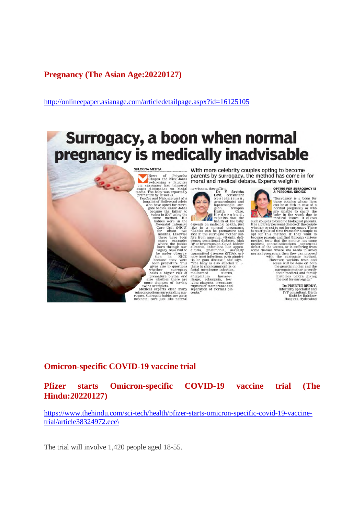#### **Pregnancy (The Asian Age:20220127)**

http://onlineepaper.asianage.com/articledetailpage.aspx?id=16125105

# Surrogacy, a boon when normal pregnancy is medically inadvisable



With more celebrity couples opting to become parents by surrogacy, the method has come in for<br>moral and medical debate. Experts weigh in

new-borns, they affirm.<br>Dr Y Savitha For a strengthening of the strengthening of the strengthening of the strength of the strength of the strength of the strength of the strength of the strength of the strength in the strength of the strength of the strength transmitted diseases (STDs), uri-<br>transmitted diseases (STDs), uri-<br>hary tract infections, even glightly<br>tis or gum disease, "she says.<br>"The baby is also affected if<br>fored members in an infection for the mail<br>of the mail o



**OPTING FOR SURROGACY IS<br>A PERSONAL CHOICE**  $\begin{tabular}{|c|c|} \hline & \multicolumn{1}{|c|}{\textbf{S}}& \multicolumn{1}{|c|}{\textbf{S}}& \multicolumn{1}{|c|}{\textbf{S}}& \multicolumn{1}{|c|}{\textbf{S}}& \multicolumn{1}{|c|}{\textbf{S}}& \multicolumn{1}{|c|}{\textbf{S}}& \multicolumn{1}{|c|}{\textbf{S}}& \multicolumn{1}{|c|}{\textbf{S}}& \multicolumn{1}{|c|}{\textbf{S}}& \multicolumn{1}{|c|}{\textbf{S}}& \multicolumn{1}{|c|}{\textbf{S}}& \multicolumn{1$ Surrogacy is a boon for

DR PREETHI REDDY, Die Preser Hit Reicher<br>Infertility specialist and<br>IVF consultant, Birth<br>Right by Rainbow<br>Hospital, Hyderabad

#### **Omicron-specific COVID-19 vaccine trial**

#### **Pfizer starts Omicron-specific COVID-19 vaccine trial (The Hindu:20220127)**

https://www.thehindu.com/sci-tech/health/pfizer-starts-omicron-specific-covid-19-vaccinetrial/article38324972.ece\

The trial will involve 1,420 people aged 18-55.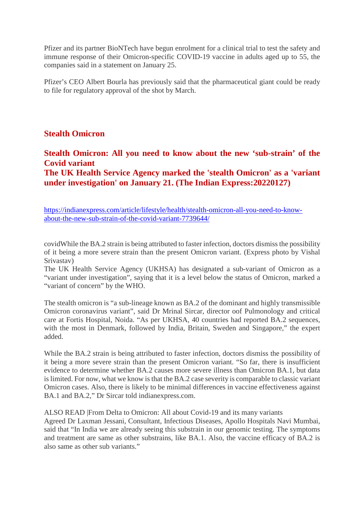Pfizer and its partner BioNTech have begun enrolment for a clinical trial to test the safety and immune response of their Omicron-specific COVID-19 vaccine in adults aged up to 55, the companies said in a statement on January 25.

Pfizer's CEO Albert Bourla has previously said that the pharmaceutical giant could be ready to file for regulatory approval of the shot by March.

#### **Stealth Omicron**

#### **Stealth Omicron: All you need to know about the new 'sub-strain' of the Covid variant The UK Health Service Agency marked the 'stealth Omicron' as a 'variant**

https://indianexpress.com/article/lifestyle/health/stealth-omicron-all-you-need-to-knowabout-the-new-sub-strain-of-the-covid-variant-7739644/

**under investigation' on January 21. (The Indian Express:20220127)**

covidWhile the BA.2 strain is being attributed to faster infection, doctors dismiss the possibility of it being a more severe strain than the present Omicron variant. (Express photo by Vishal Srivastav)

The UK Health Service Agency (UKHSA) has designated a sub-variant of Omicron as a "variant under investigation", saying that it is a level below the status of Omicron, marked a "variant of concern" by the WHO.

The stealth omicron is "a sub-lineage known as BA.2 of the dominant and highly transmissible Omicron coronavirus variant", said Dr Mrinal Sircar, director oof Pulmonology and critical care at Fortis Hospital, Noida. "As per UKHSA, 40 countries had reported BA.2 sequences, with the most in Denmark, followed by India, Britain, Sweden and Singapore," the expert added.

While the BA.2 strain is being attributed to faster infection, doctors dismiss the possibility of it being a more severe strain than the present Omicron variant. "So far, there is insufficient evidence to determine whether BA.2 causes more severe illness than Omicron BA.1, but data is limited. For now, what we know is that the BA.2 case severity is comparable to classic variant Omicron cases. Also, there is likely to be minimal differences in vaccine effectiveness against BA.1 and BA.2," Dr Sircar told indianexpress.com.

#### ALSO READ |From Delta to Omicron: All about Covid-19 and its many variants

Agreed Dr Laxman Jessani, Consultant, Infectious Diseases, Apollo Hospitals Navi Mumbai, said that "In India we are already seeing this substrain in our genomic testing. The symptoms and treatment are same as other substrains, like BA.1. Also, the vaccine efficacy of BA.2 is also same as other sub variants."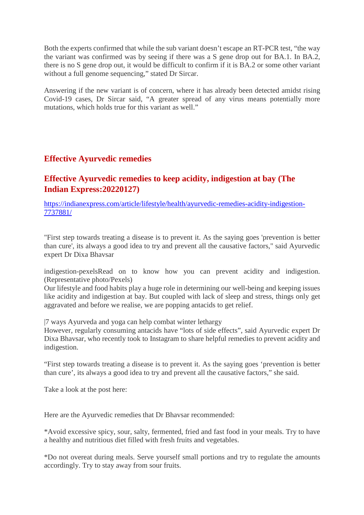Both the experts confirmed that while the sub variant doesn't escape an RT-PCR test, "the way the variant was confirmed was by seeing if there was a S gene drop out for BA.1. In BA.2, there is no S gene drop out, it would be difficult to confirm if it is BA.2 or some other variant without a full genome sequencing," stated Dr Sircar.

Answering if the new variant is of concern, where it has already been detected amidst rising Covid-19 cases, Dr Sircar said, "A greater spread of any virus means potentially more mutations, which holds true for this variant as well."

#### **Effective Ayurvedic remedies**

#### **Effective Ayurvedic remedies to keep acidity, indigestion at bay (The Indian Express:20220127)**

https://indianexpress.com/article/lifestyle/health/ayurvedic-remedies-acidity-indigestion-7737881/

"First step towards treating a disease is to prevent it. As the saying goes 'prevention is better than cure', its always a good idea to try and prevent all the causative factors," said Ayurvedic expert Dr Dixa Bhavsar

indigestion-pexelsRead on to know how you can prevent acidity and indigestion. (Representative photo/Pexels)

Our lifestyle and food habits play a huge role in determining our well-being and keeping issues like acidity and indigestion at bay. But coupled with lack of sleep and stress, things only get aggravated and before we realise, we are popping antacids to get relief.

|7 ways Ayurveda and yoga can help combat winter lethargy

However, regularly consuming antacids have "lots of side effects", said Ayurvedic expert Dr Dixa Bhavsar, who recently took to Instagram to share helpful remedies to prevent acidity and indigestion.

"First step towards treating a disease is to prevent it. As the saying goes 'prevention is better than cure', its always a good idea to try and prevent all the causative factors," she said.

Take a look at the post here:

Here are the Ayurvedic remedies that Dr Bhavsar recommended:

\*Avoid excessive spicy, sour, salty, fermented, fried and fast food in your meals. Try to have a healthy and nutritious diet filled with fresh fruits and vegetables.

\*Do not overeat during meals. Serve yourself small portions and try to regulate the amounts accordingly. Try to stay away from sour fruits.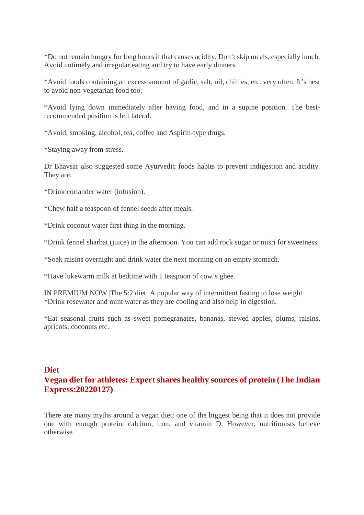\*Do not remain hungry for long hours if that causes acidity. Don't skip meals, especially lunch. Avoid untimely and irregular eating and try to have early dinners.

\*Avoid foods containing an excess amount of garlic, salt, oil, chillies, etc. very often. It's best to avoid non-vegetarian food too.

\*Avoid lying down immediately after having food, and in a supine position. The bestrecommended position is left lateral.

\*Avoid, smoking, alcohol, tea, coffee and Aspirin-type drugs.

\*Staying away from stress.

Dr Bhavsar also suggested some Ayurvedic foods habits to prevent indigestion and acidity. They are:

\*Drink coriander water (infusion).

\*Chew half a teaspoon of fennel seeds after meals.

\*Drink coconut water first thing in the morning.

\*Drink fennel sharbat (juice) in the afternoon. You can add rock sugar or misri for sweetness.

\*Soak raisins overnight and drink water the next morning on an empty stomach.

\*Have lukewarm milk at bedtime with 1 teaspoon of cow's ghee.

IN PREMIUM NOW |The 5:2 diet: A popular way of intermittent fasting to lose weight \*Drink rosewater and mint water as they are cooling and also help in digestion.

\*Eat seasonal fruits such as sweet pomegranates, bananas, stewed apples, plums, raisins, apricots, coconuts etc.

#### **Diet Vegan diet for athletes: Expert shares healthy sources of protein (The Indian Express:20220127)**

There are many myths around a vegan diet; one of the biggest being that it does not provide one with enough protein, calcium, iron, and vitamin D. However, nutritionists believe otherwise.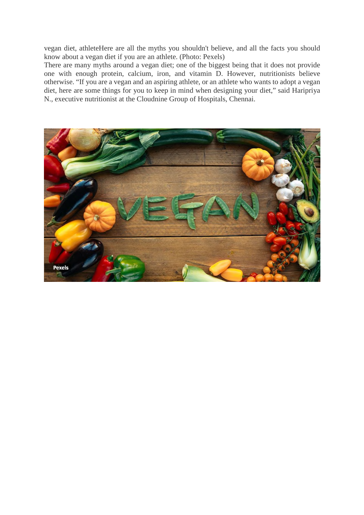vegan diet, athleteHere are all the myths you shouldn't believe, and all the facts you should know about a vegan diet if you are an athlete. (Photo: Pexels)

There are many myths around a vegan diet; one of the biggest being that it does not provide one with enough protein, calcium, iron, and vitamin D. However, nutritionists believe otherwise. "If you are a vegan and an aspiring athlete, or an athlete who wants to adopt a vegan diet, here are some things for you to keep in mind when designing your diet," said Haripriya N., executive nutritionist at the Cloudnine Group of Hospitals, Chennai.